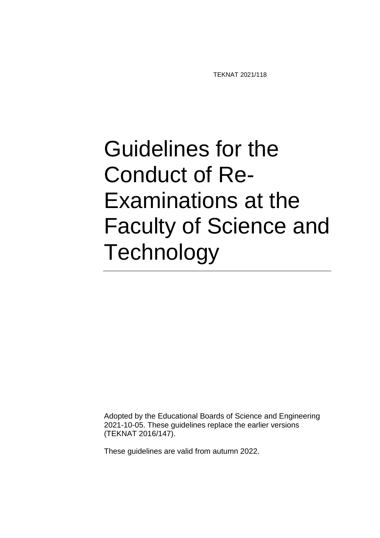TEKNAT 2021/118

## Guidelines for the Conduct of Re-Examinations at the Faculty of Science and **Technology**

Adopted by the Educational Boards of Science and Engineering 2021-10-05. These guidelines replace the earlier versions (TEKNAT 2016/147).

These guidelines are valid from autumn 2022.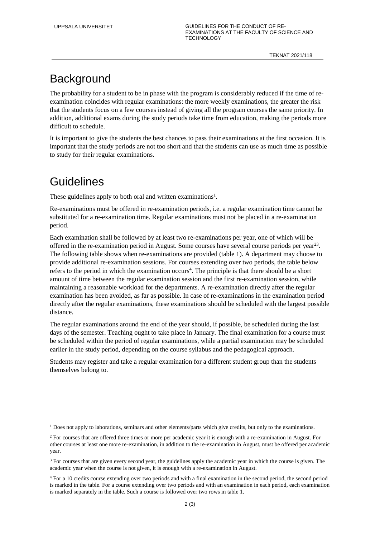## **Background**

The probability for a student to be in phase with the program is considerably reduced if the time of reexamination coincides with regular examinations: the more weekly examinations, the greater the risk that the students focus on a few courses instead of giving all the program courses the same priority. In addition, additional exams during the study periods take time from education, making the periods more difficult to schedule.

It is important to give the students the best chances to pass their examinations at the first occasion. It is important that the study periods are not too short and that the students can use as much time as possible to study for their regular examinations.

## **Guidelines**

<u>.</u>

These guidelines apply to both oral and written examinations<sup>1</sup>.

Re-examinations must be offered in re-examination periods, i.e. a regular examination time cannot be substituted for a re-examination time. Regular examinations must not be placed in a re-examination period.

Each examination shall be followed by at least two re-examinations per year, one of which will be offered in the re-examination period in August. Some courses have several course periods per year<sup>23</sup>. The following table shows when re-examinations are provided (table 1). A department may choose to provide additional re-examination sessions. For courses extending over two periods, the table below refers to the period in which the examination occurs<sup>4</sup>. The principle is that there should be a short amount of time between the regular examination session and the first re-examination session, while maintaining a reasonable workload for the departments. A re-examination directly after the regular examination has been avoided, as far as possible. In case of re-examinations in the examination period directly after the regular examinations, these examinations should be scheduled with the largest possible distance.

The regular examinations around the end of the year should, if possible, be scheduled during the last days of the semester. Teaching ought to take place in January. The final examination for a course must be scheduled within the period of regular examinations, while a partial examination may be scheduled earlier in the study period, depending on the course syllabus and the pedagogical approach.

Students may register and take a regular examination for a different student group than the students themselves belong to.

<sup>&</sup>lt;sup>1</sup> Does not apply to laborations, seminars and other elements/parts which give credits, but only to the examinations.

<sup>&</sup>lt;sup>2</sup> For courses that are offered three times or more per academic year it is enough with a re-examination in August. For other courses at least one more re-examination, in addition to the re-examination in August, must be offered per academic year.

<sup>&</sup>lt;sup>3</sup> For courses that are given every second year, the guidelines apply the academic year in which the course is given. The academic year when the course is not given, it is enough with a re-examination in August.

<sup>4</sup> For a 10 credits course extending over two periods and with a final examination in the second period, the second period is marked in the table. For a course extending over two periods and with an examination in each period, each examination is marked separately in the table. Such a course is followed over two rows in table 1.